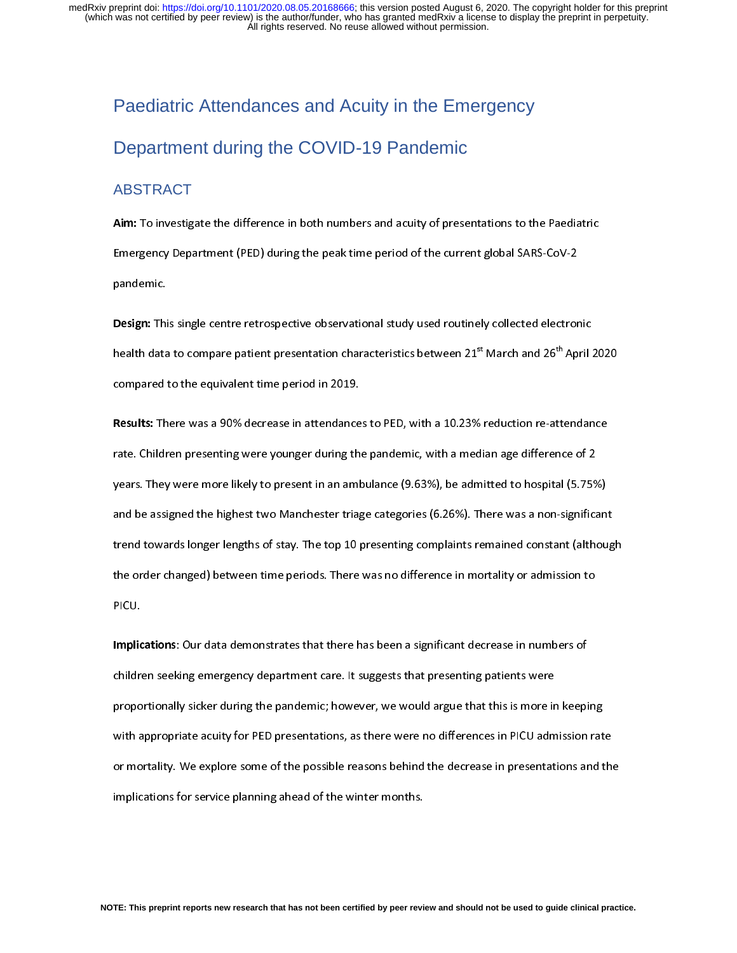# Paediatric Attendances and Acuity in the Emergency Department during the COVID-19 Pandemic

## ABSTRACT

Emergency Department (PED) during the peak time period of the current global SARS-CoV-2<br>pandemic.<br>Design: This single centre retrospective observational study used routinely collected electronic<br>health data to compare pati

Emergency Design: This single centre retrospective observational study used routinely collected electron<br>
health data to compare patient presentation characteristics between  $21^{st}$  March and  $26^{th}$  Ap r<br>**Design:** Thi<br>health data<br>compared i bealth data to compare patient presentation characteristics between 21<sup>st</sup> March and 26<sup>th</sup> April 2<br>compared to the equivalent time period in 2019.<br>**Results:** There was a 90% decrease in attendances to PED, with a 10.23% r

health data to compare patient presentation characteristics between 21\*\* March and 26\*\* April 2020<br>compared to the equivalent time period in 2019.<br>Results: There was a 90% decrease in attendances to PED, with a 10.23% redu Examples to the equivalent time periodicies in a<br>Results: There was a 90% decrease in attendance<br>rate. Children presenting were younger during the<br>years. They were more likely to present in an amb Results: There was a 30% decrease in attendances to PED, with a 10.23% reduction re-attendance<br>rate. Children presenting were younger during the pandemic, with a median age difference of 2<br>years. They were more likely to p rate. They were more likely to present in an ambulance (9.63%), be admitted to hospital (5.75%)<br>and be assigned the highest two Manchester triage categories (6.26%). There was a non-significat<br>trend towards longer lengths and be assigned the highest two Manchester triage categories (6.26%). There was a non-significan<br>trend towards longer lengths of stay. The top 10 presenting complaints remained constant (althou<br>the order changed) between t and a starged the manufacture in manufacture triage categories (6.26%). These was a next although<br>trend towards longer lengths of stay. The top 10 presenting complaints remained constant (althoug<br>the order changed) between the order changed) between time periods. There was no difference in mortality or admission to<br>PICU.<br>Implications: Our data demonstrates that there has been a significant decrease in numbers of<br>children socking emergency de

the order changed) between time periods. There was no different mortality or admittance in<br>Implications: Our data demonstrates that there has been a significant decrease in numbers of<br>children seeking emergency department **Implic**<br>childre<br>propo Implications: Our data demonstrates that there has been a significant decrease in numbers of<br>Children seeking emergency department care. It suggests that presenting patients were<br>proportionally sicker during the pandemic; proportionally sicker during the pandemic; however, we would argue that this is more in<br>with appropriate acuity for PED presentations, as there were no differences in PICU adm<br>or mortality. We explore some of the possible proportionally situationally situations, the more in the material the more in expansion and<br>with appropriate acuity for PED presentations, as there were no differences in PICU admission rat<br>or mortality. We explore some of or mortality. We explore some of the possible reasons behind the decrease in presentations and the<br>implications for service planning ahead of the winter months. implications for service planning ahead of the winter months.<br>
The possible reasons behind the decrease in presentations and the winter months.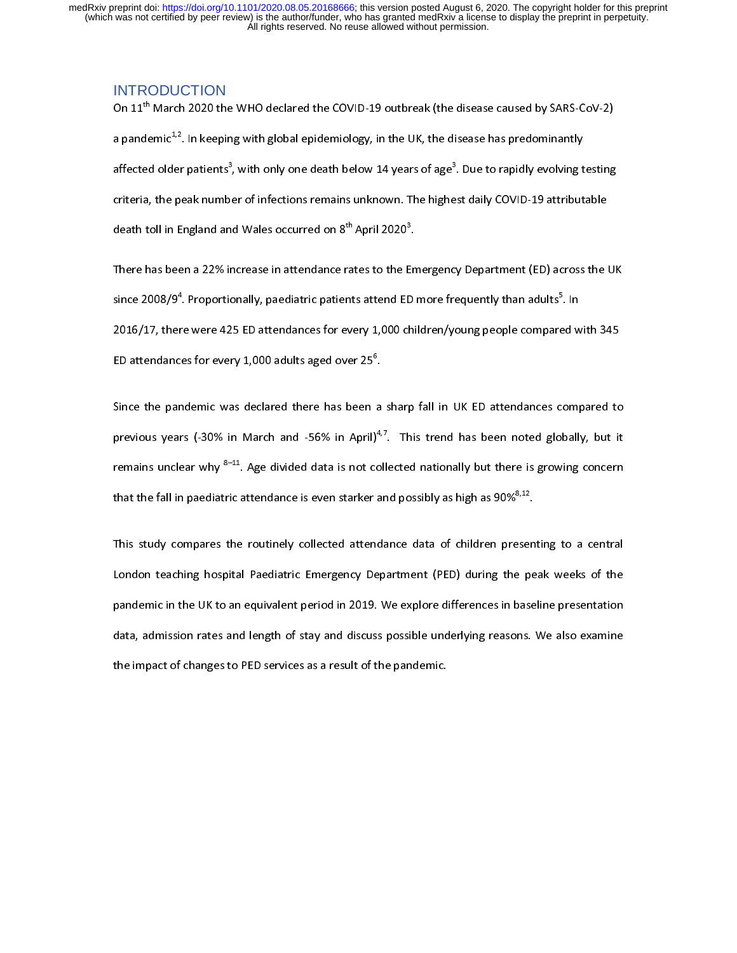#### INTRODUCTION

On 11" March 2020 the WHO declared the COVID-19 outbreak (the disease caused by SARS-CoV-2)<br>a pandemic<sup>1,2</sup>. In keeping with global epidemiology, in the UK, the disease has predominantly<br>affected older patients<sup>3</sup>, with on a pandemic<sup>4,2</sup>. In keeping with global epidemiology, in the UK, the disease has predominantly<br>affected older patients<sup>3</sup>, with only one death below 14 years of age<sup>3</sup>. Due to rapidly evolving t<br>criteria, the peak number affected older patients"<br>criteria, the peak numb<br>death toll in England an<br>There has been a 22% in , with only one death below 14 years of age"<br>er of infections remains unknown. The highe<br>d Wales occurred on 8<sup>th</sup> April 2020<sup>3</sup>.<br>ncrease in attendance rates to the Emergenc<br>anally, paodiatric patients attend ED more fr st daily COVID-19 attributable<br>st daily COVID-19 attributable<br>y Department (ED) across the UK

criteria, the peak number of interesting remains annual meaning research, peak of interesting<br>death toll in England and Wales occurred on 8<sup>th</sup> April 2020<sup>3</sup>.<br>There has been a 22% increase in attendance rates to the Emerge death toll in England and Wales occurred on 8<sup>th</sup> April 2020<sup>8</sup><br>There has been a 22% increase in attendance rates to the E<br>since 2008/9<sup>4</sup>. Proportionally, paediatric patients attend ED<br>2016/17, there were 425 ED attendanc .<br>n<br>ni There has been a 22% incremental in attendance rates of the Emergency Department (22) across the UK<br>since 2008/9<sup>4</sup>. Proportionally, paediatric patients attend ED more frequently than adults<sup>5</sup>. In<br>2016/17, there were 425 since 2008/9\*<br>2016/17, ther<br>ED attendanc<br>Since the par . Proportionally, paediatric patients attend ED more frequently than adults<sup>3</sup><br>The were 425 ED attendances for every 1,000 children/young people compare<br>For every 1,000 adults aged over 25<sup>6</sup>.<br>Indemic was declared there ha . In

ED attendances for every 1,000 adults aged over  $25^6$ .<br>Since the pandemic was declared there has been a sharp fall in UK ED attendances compared to<br>previous years (-30% in March and -56% in April)<sup>4,7</sup>. This trend has be ED attendances for every 1,000 adults aged over 25°<br>Since the pandemic was declared there has been<br>previous years (-30% in March and -56% in April)<br>remains unclear why <sup>8–11</sup>. Age divided data is not co .<br>a<br>4,<br>o previous years (-30% in March and -56% in April)<sup>4,7</sup>. This trend has been noted globally, but it remains unclear why  $^{8-11}$ . Age divided data is not collected nationally but there is growing concern that the fall in pa previous years (-30% in March and -56% in April)<sup>4,7</sup>. This trend has been noted globally, but it<br>remains unclear why <sup>8–11</sup>. Age divided data is not collected nationally but there is growing concern<br>that the fall in paedi

remains unclear why  $8-11$ . Age divided data is not collected nationally but there is growing concern<br>that the fall in paediatric attendance is even starker and possibly as high as 90%<sup>8,12</sup>.<br>This study compares the routin that the fall in paediatric attendance is even starker and possibly as high as 90%<sup>9,44</sup>.<br>This study compares the routinely collected attendance data of children presen<br>London teaching hospital Paediatric Emergency Departm London teaching hospital Paediatric Emergency Department (PED) during the peak weeks of the<br>pandemic in the UK to an equivalent period in 2019. We explore differences in baseline presentation<br>data, admission rates and leng London Teaching displant Pacidiatric Emergency Department (PED) during the peak weeks of the<br>pandemic in the UK to an equivalent period in 2019. We explore differences in baseline presentation<br>data, admission rates and len particular in the UK to an equivalent period in the UK to also in 2019. We also examine the UK to also examine the UK to an equivalent period in 2019. We also examine the UK to an equivalent period in the pandemic. the impact of changes to PED services as a result of the pandemic.<br>
We also examine reasons to the pandemic. the impact of changes to PED services as a result of the pandemic.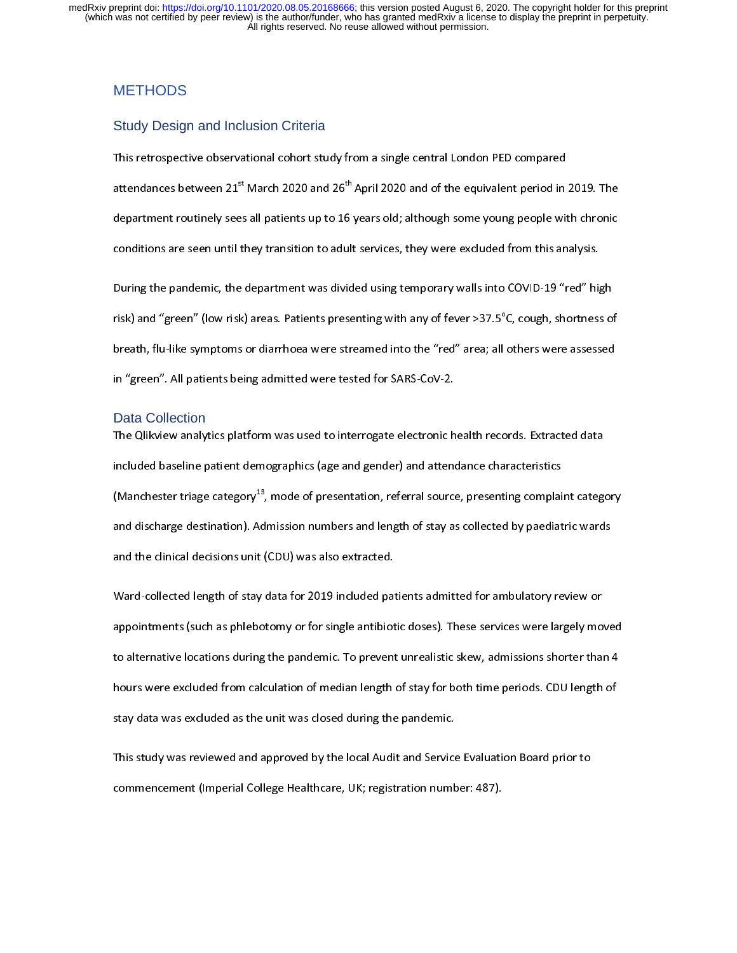# **METHODS**

#### Study Design and Inclusion Criteria

attendances between 21<sup>st</sup> March 2020 and 26<sup>th</sup> April 2020 and of the equivalent period in<br>department routinely sees all patients up to 16 years old; although some young people wit<br>conditions are seen until they transitio attendances between 21" March 2020 and 26" April 2020 and of the equivalent period in 2019. The<br>department routinely sees all patients up to 16 years old; although some young people with chronic<br>conditions are seen until t

conditions are seen until they transition to adult services, they were excluded from this analysis.<br>During the pandemic, the department was divided using temporary walls into COVID-19 "red" high<br>risk) and "green" (low risk conditions are seen until they manufactured until the second parameters were until the manufacture.<br>
During the pandemic, the department was divided using temporary walls into COVID-19 "red" high<br>
risk) and "green" (low ri risk) and "green" (low risk) areas. Patients presenting with any of fever >37.5°C, cough, shortness of<br>breath, flu-like symptoms or diarrhoea were streamed into the "red" area; all others were assessed<br>in "green". All pati risk) and "green" (low risk) areas. Patients presenting with any of fever >37.5°<br>breath, flu-like symptoms or diarrhoea were streamed into the "red" area; all<br>in "green". All patients being admitted were tested for SARS-Co others were assessed<br>others were assessed<br>ords. Extracted data

#### Data Collection

breath, flu-like symptoms or diarry or diarry or diarry or diarry or diarry or diarry or diarry or diarry or di<br>Data Collection<br>The Qlikview analytics platform was used to interrogate electronic health records. Extracted d in "green". All patients being admitted were tested for the City<br>The Qlikview analytics platform was used to interrogate electronic h<br>included baseline patient demographics (age and gender) and attent<br>(Manchester triage ca Included baseline patient demographics (age and gender) and attendance characteristics<br>(Manchester triage category<sup>13</sup>, mode of presentation, referral source, presenting complaint category<br>and discharge destination). Admis (Manchester triage category<sup>13</sup>, mode of presentation, referral source, presenting complai<br>and discharge destination). Admission numbers and length of stay as collected by paediat<br>and the clinical decisions unit (CDU) was (Manchester triage category<sup>13)</sup>, mode of presentation, referral source, presenting complaint category<br>and discharge destination). Admission numbers and length of stay as collected by paediatric wards<br>and the clinical deci

and the clinical decisions unit (CDU) was also extracted.<br>Ward-collected length of stay data for 2019 included patients admitted for ambulatory review or<br>appointments (such as phlebotomy or for single antibiotic doses). Th Ward-collected length of stay data for 2019 included pat<br>appointments (such as phlebotomy or for single antibiot<br>to alternative locations during the pandemic. To prevent<br>bours were excluded from calculation of median lengt appointments (such as phlebotomy or for single antibiotic doses). These services were largely moto alternative locations during the pandemic. To prevent unrealistic skew, admissions shorter than<br>hours were excluded from ca to alternative locations during the pandemic. To prevent unrealistic skew, admissions shorter than 4<br>hours were excluded from calculation of median length of stay for both time periods. CDU length of<br>stay data was excluded to alternative locations alternative process and emissions, administrative matrix<br>hours were excluded from calculation of median length of stay for both time periods. CDU length of<br>stay data was excluded as the unit was cl

stay data was excluded as the unit was closed during the pandemic.<br>This study was reviewed and approved by the local Audit and Service Evaluation Board prior to<br>commencement (Imperial College Healthcare, UK; registration n stay as the unit statement as the unit was the unit was declement, the pandemic of this study was reviewed and approved by the local Audit and Service<br>commencement (Imperial College Healthcare, UK; registration number The local College Healthcare, UK; registration number: 487).<br>
Commencement (Imperial College Healthcare, UK; registration number: 487). commencement (Imperial College Healthcare, UK; registration number: 487).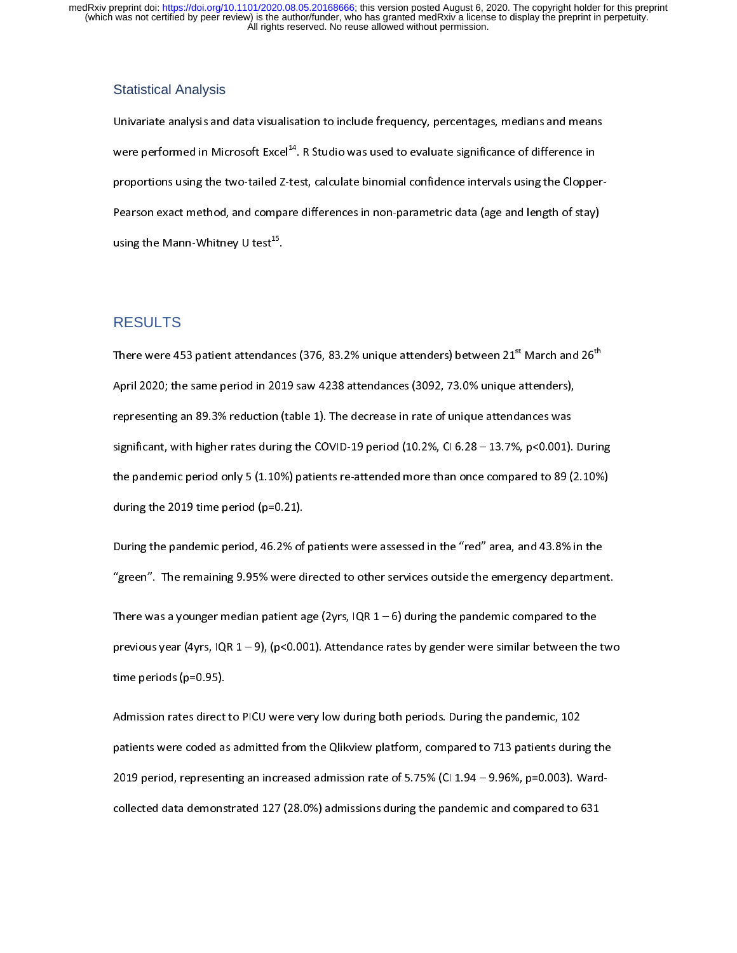#### Statistical Analysis

Were performed in Microsoft Excel<sup>14</sup>. R Studio was used to evaluate significance of difference in<br>proportions using the two-tailed Z-test, calculate binomial confidence intervals using the Clopper-<br>Pearson exact method, were performed in Microsoft Excel<sup>44</sup>. R Studio was used to evaluate significance of difference in<br>proportions using the two-tailed Z-test, calculate binomial confidence intervals using the Cloppe<br>Pearson exact method, and Pearson exact method, and compare differences in non-parameters in non-parameters  $(2, 2)$  and  $(3, 3)$  or stay), using the Mann-Whitney U test<sup>15</sup>.

# RESULTS

using the Mann-Whitney U test<sup>25</sup>.<br>RESULTS<br>There were 453 patient attendanc There were 453 patient attendances (376, 83.2% unique attenders) between 21<sup>st</sup> March and 26<sup>st</sup><br>April 2020; the same period in 2019 saw 4238 attendances (3092, 73.0% unique attenders),<br>representing an 89.3% reduction (tab representing an 89.3% reduction (table 1). The decrease in rate of unique attendances was<br>significant, with higher rates during the COVID-19 period (10.2%, CI 6.28 – 13.7%, p<0.001).<br>the pandemic period only 5 (1.10%) pat significant, with higher rates during the COVID-19 period (10.2%, CI 6.28 – 13.7%, p<0.001).<br>
the pandemic period only 5 (1.10%) patients re-attended more than once compared to 89 (<br>
during the 2019 time period (p=0.21).<br> significant, with the pandemic period only 5 (1.10%) patients re-attended more than once compared to 89 (2.10%)<br>during the 2019 time period (p=0.21).<br>During the pandemic period, 46.2% of patients were assessed in the "red"

the pandemic period only 5 (2.110%) pandemic 2.111.10 and the than the compared to 89 (2.10%)<br>during the pandemic period, 46.2% of patients were assessed in the "red" area, and 43.8% in the<br>"green". The remaining 9.95% wer During the pandemic period, 46.2% of<br>"green". The remaining 9.95% were di<br>There was a younger median patient a

"green". The remaining 9.95% were directed to other services outside the emergency department<br>There was a younger median patient age (2yrs, IQR 1 – 6) during the pandemic compared to the<br>previous year (4yrs, IQR 1 – 9), ( There was a younger median patient age (2yrs, IQR  $1-6$ ) during the pandemic compared to the previous year (4yrs, IQR  $1-9$ ), (p<0.001). Attendance rates by gender were similar between the two time periods (p=0.95). previous year (4yrs, IQR 1 – 9), (p<0.001). Attendance rates by gender were similar between the<br>time periods (p=0.95).<br>Admission rates direct to PICU were very low during both periods. During the pandemic, 102

previous year (4yrs) years with the community of the particle of the particle of the particle state of the particle state of the particle state rates during the particle and an admitted from the Qlikview platform, compared Mine periods (p=0.95).<br>Admission rates direct<br>patients were coded as<br>2019 period, represent patients were coded as admitted from the Qlikview platform, compared to 713 patients during<br>2019 period, representing an increased admission rate of 5.75% (CI 1.94 – 9.96%, p=0.003). V<br>collected data demonstrated 127 (28.0 patients were coded as admitted from the Quinted platform, compared from the platform anning the 2019 period, representing an increased admission rate of 5.75% (CI 1.94 – 9.96%, p=0.003). Ward-collected data demonstrated 1 collected data demonstrated 127 (28.0%) admissions during the pandemic and compared to 631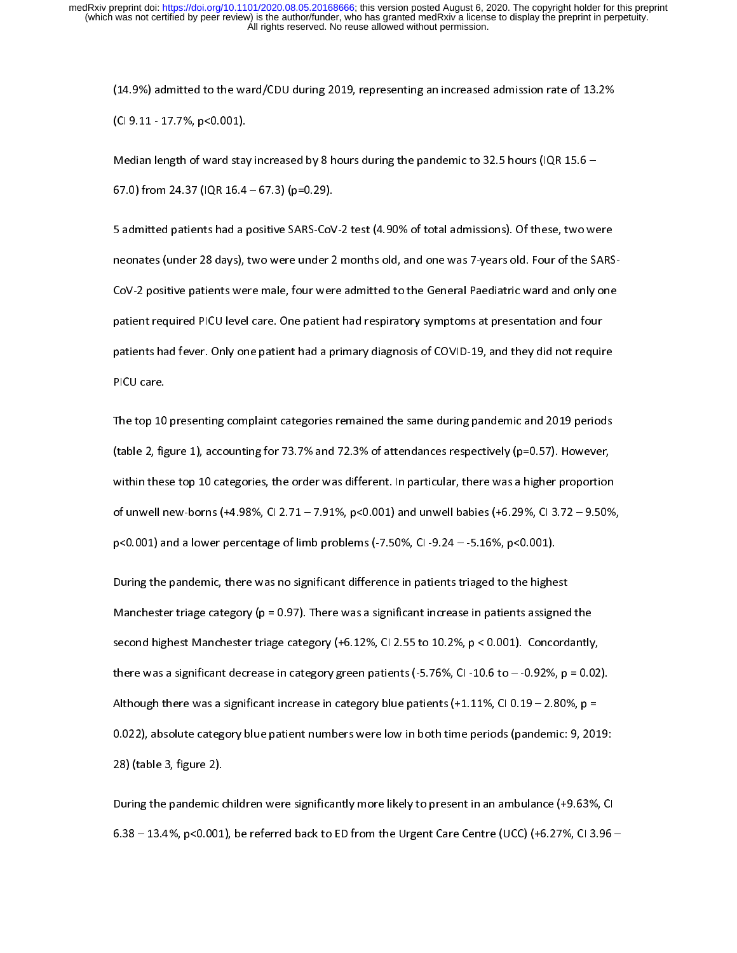(CI 9.11 - 17.7%, p<0.001).<br>Median length of ward stay increased by 8 hours during the pandemic to 32.5 hours (IQR 15.6 –<br>67.0) from 24.37 (IQR 16.4 – 67.3) (p=0.29). (CORPLESS LEADER), process,<br>
Median length of ward stay<br>
67.0) from 24.37 (IQR 16.4<br>
5 admitted patients had a p

 $(67.0)$  from 24.37 (IQR 16.4 – 67.3) (p=0.29).<br>
5 admitted patients had a positive SARS-CoV-2 test (4.90% of total admissions). Of these, two we<br>
neonates (under 28 days), two were under 2 months old, and one was 7-years Examples the process of process of admitted patients had a positive SARS-CoV<br>neonates (under 28 days), two were under 2<br>CoV-2 positive patients were male, four wer 5 admitted patients had a person extra server of the total admitted patients, one are the sample present and only one cov-2 positive patients were male, four were admitted to the General Paediatric ward and only one patien neonates (under 28 days), two were under 2 months old, and one was 7-years old, and one was 7-years old. Four o patient required PICU level care. One patient had respiratory symptoms at presentation and four<br>patients had fever. Only one patient had a primary diagnosis of COVID-19, and they did not require<br>PICU care. patients had fever. Only one patient had a primary diagnosis of COVID-19, and they did not require<br>PICU care.<br>The top 10 presenting complaint categories remained the same during pandemic and 2019 period<br>(table 2, figure 1)

potential fever.<br>The top 10 presenting complaint categories remained the same during pandemic and 2019 periods<br>(table 2, figure 1), accounting for 73.7% and 72.3% of attendances respectively (p=0.57). However,<br>within these The top 10<br>The top 10<br>(table 2, fig<br>of unwell n The top 10 categories remains and the same during parameters and 2019 percention<br>(table 2, figure 1), accounting for 73.7% and 72.3% of attendances respectively (p=0.57). However,<br>within these top 10 categories, the order within these top 10 categories, the order was different. In particular, there was a higher proportion<br>of unwell new-borns (+4.98%, Cl 2.71 – 7.91%, p<0.001) and unwell babies (+6.29%, Cl 3.72 – 9.509<br>p<0.001) and a lower of unwell new-borns (+4.98%, CI 2.71 – 7.91%, p<0.001) and unwell babies (+6.29%, CI 3.72 – 9.50%<br>p<0.001) and a lower percentage of limb problems (-7.50%, CI -9.24 – -5.16%, p<0.001).<br>During the pandemic, there was no si

p<0.001) and a lower percentage of limb problems (-7.50%, CI -9.24 – -5.16%, p<0.001).<br>During the pandemic, there was no significant difference in patients triaged to the highest<br>Manchester triage category (p = 0.97). Ther During the pandemic, there was no significant difference in patients triaged to the highe<br>Manchester triage category ( $p = 0.97$ ). There was a significant increase in patients assign<br>second highest Manchester triage catego Manchester triage category ( $p = 0.97$ ). There was a significant increase in patients assigned<br>second highest Manchester triage category (+6.12%, CI 2.55 to 10.2%,  $p < 0.001$ ). Concord<br>there was a significant decrease in c second highest Manchester triage category (+6.12%, CI 2.55 to 10.2%, p < 0.001). Concordantly<br>there was a significant decrease in category green patients (-5.76%, CI -10.6 to – -0.92%, p = 0.0<br>Although there was a signifi shere was a significant decrease in category green patients (-5.76%, CI -10.6 to – -0.92%, p = 0.02<br>Although there was a significant increase in category blue patients (+1.11%, CI 0.19 – 2.80%, p =<br>0.022), absolute catego Although there was a significant increase in category blue patients (+1.11%, CI 0.19 – 2.80%, p = 0.022), absolute category blue patient numbers were low in both time periods (pandemic: 9, 2019:<br>28) (table 3, figure 2).  $\sim$  0.022), absolute category blue patient numbers were low in both time periods (pandemic: 9, 201<br>28) (table 3, figure 2).<br>During the pandemic children were significantly more likely to present in an ambulance (+9.63%,

28) (table 3, figure 2).<br>During the pandemic children were significantly more likely to present in an ambulance (+9.63%, CI<br>6.38 – 13.4%, p<0.001), be referred back to ED from the Urgent Care Centre (UCC) (+6.27%, CI 3.96 During the pandemic  $6.38 - 13.4\%$ , p<0.001  $0.38 - 13.4\%$ , p<0.001), be referred back to ED from the Urgent Care Centre (UCC) (+6.27%, CI 3.96  $\cdot$ 6.38 – 13.4%, p<0.001), be referred back to ED from the Urgent Care Centre (UCC) (+6.27%, CI 3.96 –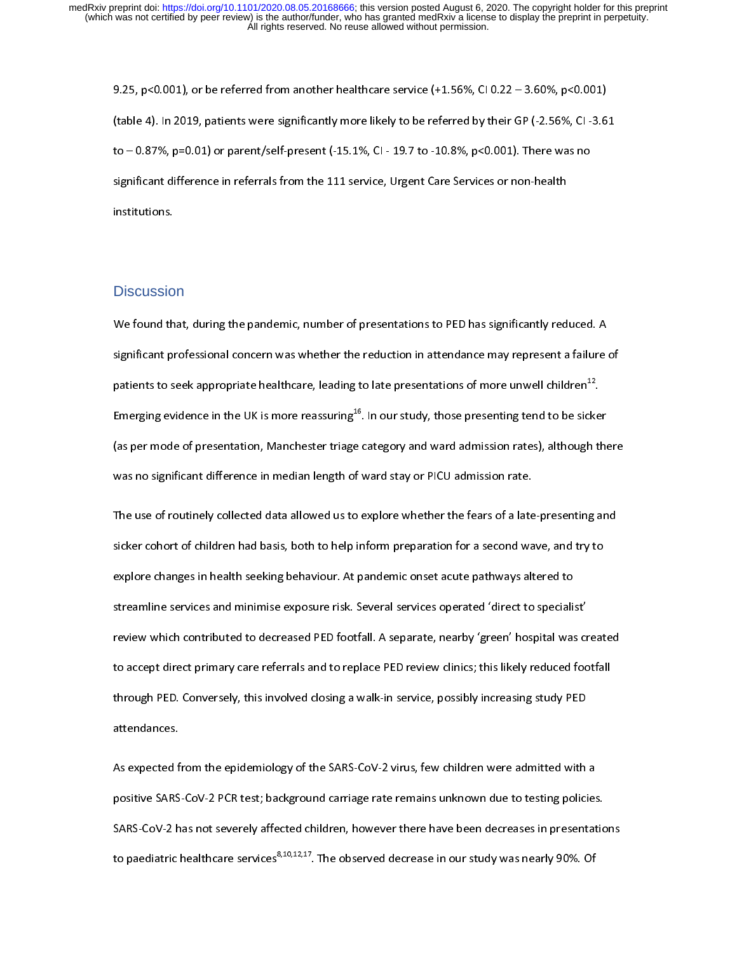(table 4). In 2019, patients were significantly more likely to be referred by their GP (-2.56%, CI -3.6<br>to – 0.87%, p=0.01) or parent/self-present (-15.1%, CI - 19.7 to -10.8%, p<0.001). There was no<br>significant differenc (table 4). In 2023, patients were significantly more antaly to be referred by their GP (-2.56%, CI - 0.87%, p=0.01) or parent/self-present (-15.1%, CI - 19.7 to -10.8%, p<0.001). There was no significant difference in ref significant difference in referrals from the 111 service, Urgent Care Services or non-health<br>institutions. significant difference in referrence in referrence, Urgent Care Services or non-health<br>institutions.<br>Discussion

## **Discussion**

Discussio<br>We found th Significant professional concern was whether the reduction in attendance may represent a failure<br>patients to seek appropriate healthcare, leading to late presentations of more unwell children<sup>12</sup>.<br>Emerging evidence in the symmetry professional concern was increased to late presentations of more unwell children<sup>12</sup>.<br>Penerging evidence in the UK is more reassuring<sup>16</sup>. In our study, those presenting tend to be sicker<br>(as per mode of presentat patients to seek appropriate healthcare, leading to late presentations of more unwell children<sup>14</sup>.<br>Emerging evidence in the UK is more reassuring<sup>16</sup>. In our study, those presenting tend to be sicke<br>(as per mode of presen Emerging evidence in the UK is more reassuring<sup>20</sup>. In our study, those presenting tend to be sicker<br>(as per mode of presentation, Manchester triage category and ward admission rates), although the<br>was no significant diffe

(as per mode of presentation, manchester triage category and ward admission rate.), and eagle means<br>was no significant difference in median length of ward stay or PICU admission rate.<br>The use of routinely collected data al The use of routinely collected data allowed us to explore whether the fears of a late<br>sicker cohort of children had basis, both to help inform preparation for a second ward explore changes in health seeking behaviour. At p The use of children had basis, both to help inform preparation for a second wave, and try to explore changes in health seeking behaviour. At pandemic onset acute pathways altered to specialist'<br>streamline services and mini since changes in health seeking behaviour. At pandemic onset acute pathways altered to<br>streamline services and minimise exposure risk. Several services operated 'direct to specialist'<br>review which contributed to decreased explore changes in health seeking behavior in pathward charge pathways and the streamline services and minimise exposure risk. Several services operated 'direct to speciali:<br>review which contributed to decreased PED footfa review which contributed to decreased PED footfall. A separate, nearby 'green' hospital was cr<br>to accept direct primary care referrals and to replace PED review clinics; this likely reduced foo<br>through PED. Conversely, thi review which contributed to decrease the contribution opposition, you was possibly reduced footfall.<br>Through PED. Conversely, this involved closing a walk-in service, possibly increasing study PED<br>attendances. through PED. Conversely, this involved closing a walk-in service, possibly increasing study PED<br>attendances.<br>As expected from the epidemiology of the SARS-CoV-2 virus, few children were admitted with a<br>positive SARS-CoV-2

attendances.<br>As expected from the epidemiology of the SARS-CoV-2 virus, few children were admitted with<br>positive SARS-CoV-2 PCR test; background carriage rate remains unknown due to testing polici As expected f<br>positive SARS<br>SARS-CoV-2 h positive SARS-CoV-2 PCR test; background carriage rate remains unknown due to testing policies<br>SARS-CoV-2 has not severely affected children, however there have been decreases in presentat<br>to paediatric healthcare services positive SARS-CoV-2 has not severely affected children, however there have been decreases in presentation<br>to paediatric healthcare services<sup>8,10,12,17</sup>. The observed decrease in our study was nearly 90%. Of SARS-COV-2 has not services<sup>8,10,12,17</sup>. The observed decrease in our study was nearly 90%. Of<br>to paediatric healthcare services<sup>8,10,12,17</sup>. The observed decrease in our study was nearly 90%. Of to paediatric healthcare services8,10,12,17. The observed decrease in our study was nearly 90%. Of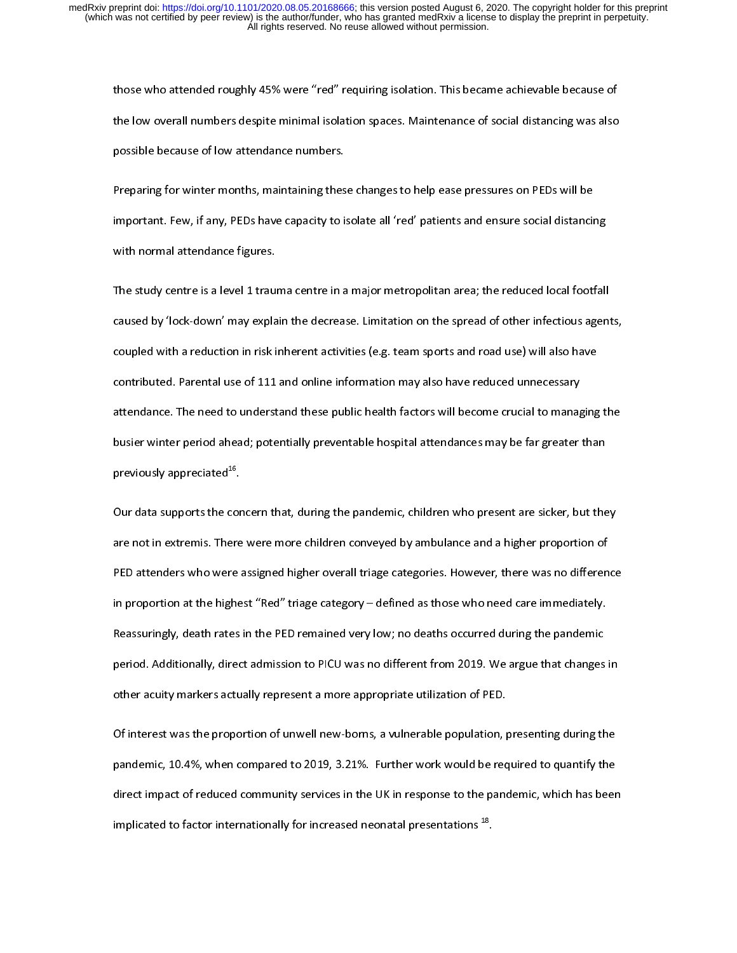the low overall numbers despite minimal isolation spaces. Maintenance of social distancing was also<br>possible because of low attendance numbers.<br>Preparing for winter months, maintaining these changes to help ease pressures

the low of the low outer despite minimal is that the part in minimal is a state minimal is also<br>possible because of low attendance numbers.<br>Maintenance of social distance of social distancing with normal attendance figures preparing for winter months, maintaining thes<br>important. Few, if any, PEDs have capacity to i<br>with normal attendance figures. Preparing for minister months, maintaining successioning of to help ease presented and these changes<br>important. Few, if any, PEDs have capacity to isolate all 'red' patients and ensure social distancin<br>with normal attendan

important. Few, is any, PED state capacity to isolate all 'red patients and ensure social measurements<br>The study centre is a level 1 trauma centre in a major metropolitan area; the reduced local footfall<br>caused by 'lock-do The study centre is a level 1 trau<br>caused by 'lock-down' may expla<br>coupled with a reduction in risk i The staused by 'lock-down' may explain the decrease. Limitation on the spread of other infectious agent<br>coupled with a reduction in risk inherent activities (e.g. team sports and road use) will also have<br>contributed. Paren coupled with a reduction in risk inherent activities (e.g. team sports and road use) will also have<br>contributed. Parental use of 111 and online information may also have reduced unnecessary<br>attendance. The need to understa contributed. Parental use of 111 and online information may also have reduced unnecessary<br>attendance. The need to understand these public health factors will become crucial to managing<br>busier winter period ahead; potential contributed. The need to understand these public health factors will become crucial to manageousier winter period ahead; potentially preventable hospital attendances may be far greater previously appreciated<sup>16</sup>. busier winter period ahead; potentially preventable hospital attendances may be far greater than<br>previously appreciated<sup>16</sup>.<br>Our data supports the concern that, during the pandemic, children who present are sicker, but the

previously appreciated<sup>16</sup>.<br>
Our data supports the concern that, during the pandemic, children who present are sicker, but the<br>
are not in extremis. There were more children conveyed by ambulance and a higher proportion of previously appreciated\*".<br>Our data supports the cor<br>are not in extremis. There<br>PED attenders who were :<br>in proportion at the bishe our and support the concern that, data game pandemic, children the precent are situal, during,<br>are not in extremis. There were more children conveyed by ambulance and a higher proportion of<br>PED attenders who were assigned PED attenders who were assigned higher overall triage categories. However, there was no differen<br>in proportion at the highest "Red" triage category – defined as those who need care immediately.<br>Reassuringly, death rates in In proportion at the highest "Red" triage category – defined as those who need care immediately.<br>Reassuringly, death rates in the PED remained very low; no deaths occurred during the pandemic<br>period. Additionally, direct a Reassuringly, death rates in the PED remained very low; no deaths occurred during the pandemic<br>period. Additionally, direct admission to PICU was no different from 2019. We argue that changes<br>other acuity markers actually Period. Additionally, direct admission to PICU was no different from 2019. We argue that changes<br>other acuity markers actually represent a more appropriate utilization of PED.<br>Of interest was the proportion of unwell new-b

period. At the rectionally represent a more appropriate utilization of PED.<br>Of interest was the proportion of unwell new-borns, a vulnerable population, presenting during the<br>pandemic, 10.4%, when compared to 2019, 3.21%. of interest was the proportion of unwell new-borns, a vulnerable population, pointerest was the proportion of unwell new-borns, a vulnerable population, pointered.<br>Proportion of PED. The paper of PED. The PED. The PED. The pandemic, 10.4%, when compared to 2019, 3.21%. Further work would be required to quantify the direct impact of reduced community services in the UK in response to the pandemic, which has been implicated to factor internat pandemic, 2011, *pandemic services* in the UK in response to the pandemic, which has been<br>direct impact of reduced community services in the UK in response to the pandemic, which has been<br>implicated to factor international implicated to factor internationally for increased neonatal presentations <sup>18</sup>. implicated to factor internationally for increased neonatal presentations  $\tilde{\,\cdot\,}$  .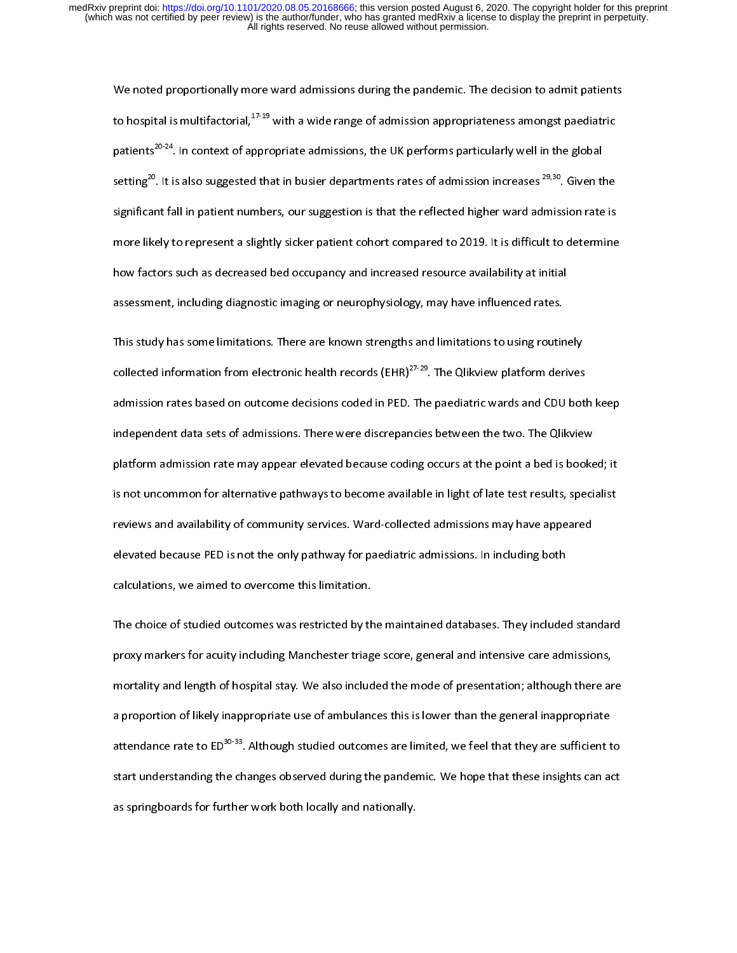We noted proportionally more ward admissions during the pandemic. The decision to admit patients<br>to hospital is multifactorial,<sup>17-19</sup> with a wide range of admission appropriateness amongst paediatric<br>patients<sup>20-24</sup>. In to hospital is multifactorial,<sup>27</sup>-29 with a wide range of admission appropriateness amongst paediatric<br>patients<sup>20-24</sup>. In context of appropriate admissions, the UK performs particularly well in the global<br>setting<sup>20</sup>. It patients<sup>20</sup><sup>24</sup>. In context of appropriate admissions, the UK performs particularly well in the global<br>setting<sup>20</sup>. It is also suggested that in busier departments rates of admission increases <sup>29,30</sup>. Given the<br>significa setting<sup>20</sup>. It is also suggested that in busier departments rates of admission increases <sup>29,30</sup>. Given the significant fall in patient numbers, our suggestion is that the reflected higher ward admission rate is more like significant fall in patient fall in patient to the reflection is difficult to determine<br>how factors such as decreased bed occupancy and increased resource availability at initial<br>assessment, including diagnostic imaging or mow factors such as decreased bed occupancy and increased resource availability at initial<br>assessment, including diagnostic imaging or neurophysiology, may have influenced rates.<br>This study has some limitations. There are

assessment, including diagnostic imaging or neurophysiology, may have influenced rates.<br>This study has some limitations. There are known strengths and limitations to using routine<br>collected information from electronic hea This study has some limitations. There are known strengths and limitations to using routin<br>collected information from electronic health records (EHR)<sup>27-29</sup>. The Qlikview platform der<br>admission rates based on outcome decis collected information from electronic health records (EHR)<sup>27-29</sup>. The Qlikview platform derives<br>admission rates based on outcome decisions coded in PED. The paediatric wards and CDU bot<br>independent data sets of admissions collected information from electronic health records (EHR)<sup>27-22</sup>. The Qlikview platform derives<br>admission rates based on outcome decisions coded in PED. The paediatric wards and CDU bot<br>independent data sets of admissions independent data sets of admissions. There were discrepancies between the two. The Qlikview<br>platform admission rate may appear elevated because coding occurs at the point a bed is booked; it<br>is not uncommon for alternative independent data sets of alternative parallel and the colling occurs at the point a bed is booke<br>is not uncommon for alternative pathways to become available in light of late test results, speci<br>reviews and availability of plant is not uncommon for alternative pathways to become available in light of late test results, specialist<br>reviews and availability of community services. Ward-collected admissions may have appeared<br>elevated because PED is not uncommoned and availability of community services. Ward-collected admissions may have appeared<br>elevated because PED is not the only pathway for paediatric admissions. In including both<br>calculations, we aimed to over reviewated because PED is not the only pathway for paediatric admissions. In including both<br>calculations, we aimed to overcome this limitation.<br>The choice of studied outcomes was restricted by the maintained databases. The

exalculations, we aimed to overcome this limitation.<br>The choice of studied outcomes was restricted by the maintained databases. They included<br>proxy markers for acuity including Manchester triage score, general and intensiv The choice of studied outcomes was restricted by th<br>proxy markers for acuity including Manchester triag<br>mortality and length of hospital stay. We also include<br>a proportion of likely inappropriate use of ambulance The choice of studies was restricted by the maintained and intensive care admissions,<br>proxy markers for acuity including Manchester triage score, general and intensive care admissions,<br>mortality and length of hospital stay prortality and length of hospital stay. We also included the mode of presentation; although there are a proportion of likely inappropriate use of ambulances this is lower than the general inappropriate attendance rate to E mortality and length of his incrementation of his stay. The model is stay increased a proportion of likely inappropriate use of ambulances this is lower than the general inappropriate attendance rate to ED<sup>30-33</sup>. Although attendance rate to ED<sup>30-33</sup>. Although studied outcomes are limited, we feel that they are sufficient t<br>start understanding the changes observed during the pandemic. We hope that these insights can ao<br>as springboards for f attendance rate to ED<sup>30-33</sup>. Although studied outcomes are limited, we feel that they are sufficient to<br>start understanding the changes observed during the pandemic. We hope that these insights can act<br>as springboards for as springboards for further work both locally and nationally.<br>
Action of parameters of panels of the panels of the panels of the panels of the panels of the panels of the p<br>  $\frac{d}{dt}$  and the panels of the panels of the pa as springboards for further work both locally and nationally.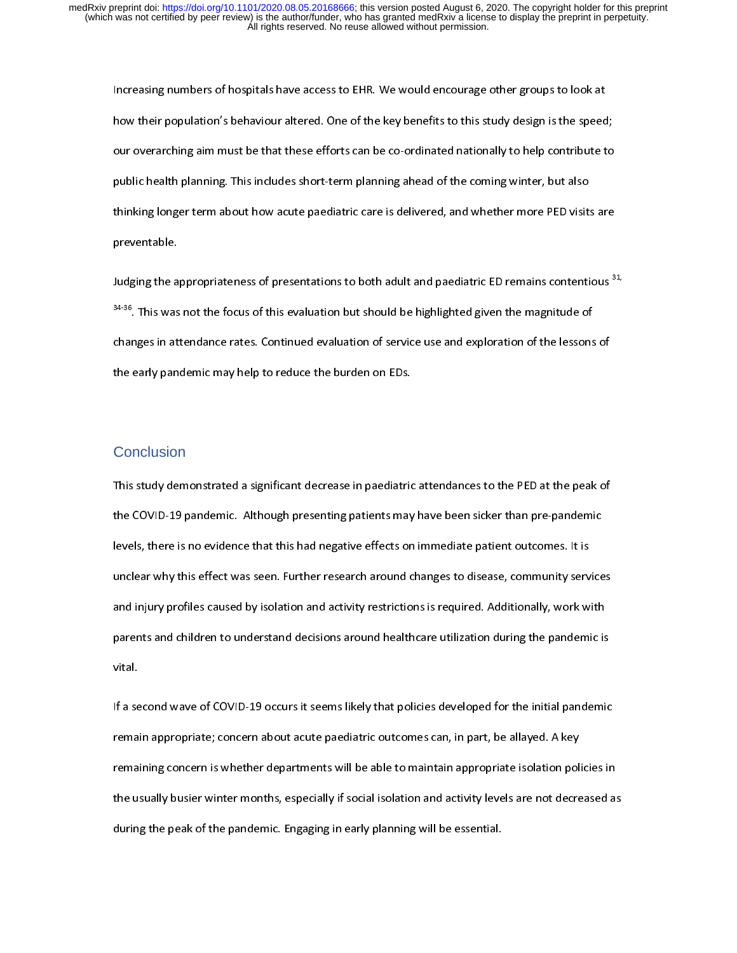Increasing the speed our overarching aim must be that these efforts can be co-ordinated nationally to help contribute to ure overarching aim must be that these efforts can be co-ordinated nationally to help contribute to p how their population's behaviour alternation in the speed in the key planner of the key planner population of<br>our overarching aim must be that these efforts can be co-ordinated nationally to help contribute to<br>public healt public health planning. This includes short-term planning ahead of the coming winter, but also<br>thinking longer term about how acute paediatric care is delivered, and whether more PED visits are<br>preventable. public health planning. This includes short-term planning ahead of the coming winter, but also<br>thinking longer term about how acute paediatric care is delivered, and whether more PED visits are<br>preventable.<br>Judging the app

preventable.<br>
Judging the appropriateness of presentations to both adult and paediatric ED remains contentious<sup>3</sup><br>
<sup>34-36</sup>. This was not the focus of this evaluation but should be highlighted given the magnitude of<br>
change prevents<br>Judging the a<br>s<sup>34-36</sup>. This was<br>changes in at Judging the appropriateness of presentations to both adult and paediatric ED remains contentious <sup>32,</sup><br><sup>34-36</sup>. This was not the focus of this evaluation but should be highlighted given the magnitude of<br>changes in attendan 3435. This was not the focus of this evaluation but should be highlighted given the magnitude of changes in attendance rates. Continued evaluation of service use and exploration of the lessons<br>the early pandemic may help t the early pandemic may help to reduce the burden on EDs.<br>Conclusion

## **Conclusion**

 $\begin{array}{l} \begin{array}{l} \text{\footnotesize{1}} \end{array} \end{array}$  This study demonstrated a significant decrease in paediatric<br>  $\frac{1}{1}$ The COVID-19 pandemic. Although presenting patients may have been sicker than pre-pandemic<br>levels, there is no evidence that this had negative effects on immediate patient outcomes. It is<br>unclear why this effect was seen. the COVID-19 pandemics chinal a<sub>nd</sub> presenting patients may have been similar man pre-pandemic.<br>Invelos, there is no evidence that this had negative effects on immediate patient outcomes. It is<br>unclear why this effect was unclear why this effect was seen. Further research around changes to disease, community servand injury profiles caused by isolation and activity restrictions is required. Additionally, work w<br>parents and children to unders and injury profiles caused by isolation and activity restrictions is required. Additionally, work with<br>parents and children to understand decisions around healthcare utilization during the pandemic is<br>vital. parents and children to understand decisions around healthcare utilization during the pandemic is<br>vital.<br>If a second wave of COVID-19 occurs it seems likely that policies developed for the initial pandemi<br>remain appropriat

parents and children to understand decisions around the panel children decisions around with a second wave of COVID-19 occurs it seems likely that policies developed for the initial pandemic remain appropriate; concern abo lf a se<br>remai<br>remai<br>the us If a second wave of Concernation wave of Covid-19 or<br>If a second wave of Covid-19 or Covid-19 or<br>If a set of Covid-19 or Covid-19 or Covid-19 or<br>International policies in<br>the usually busier winter months, especially if soc remaining concern is whether departments will be able to maintain appropriate isolation politic usually busier winter months, especially if social isolation and activity levels are not decreating the peak of the pandemic. the usually busier winter months, especially if social isolation and activity levels are not decreased as<br>during the peak of the pandemic. Engaging in early planning will be essential. during the peak of the pandemic. Engaging in early planning will be essential.<br>
Social isolation and activity levels are not decreased as not decreased as not decreased as not decreased as<br>  $\frac{d}{dt} \int_{-\infty}^{\infty} \frac{1}{2} \, dt$  during the peak of the pandemic. Engaging in early planning will be essential.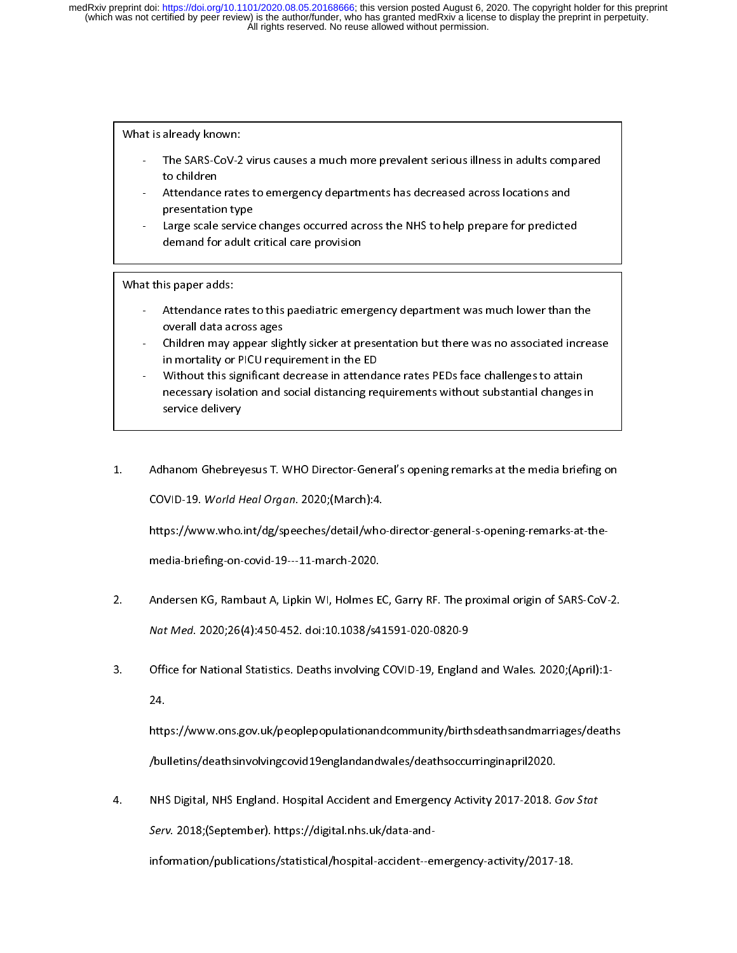- 
- 
- The SARS-CoV-2<br>to children<br>- Attendance rate<br>presentation typer-<br>Large scale servidemand for adu to children<br>- Attendance rates to emergency departments has decreased across locations and<br>presentation type<br>- Large scale service changes occurred across the NHS to help prepare for predicted<br>demand for adult critical car Attendance<br>
presentatio<br>
Large scale<br>
demand for<br>
is paper add Frame and type<br>presentation type<br>- Large scale service changes occurred across the NHS to help prepare for predicted<br>demand for adult critical care provision<br>at this paper adds:<br>- Attendance rates to this paediatric emerge Presentation<br>
Large scale service<br>
demand for adult<br>
is paper adds:<br>
Attendance rates t<br>
overall data across

- demand for adult critical care provision<br>
at this paper adds:<br>
Attendance rates to this paediatric emergency department was much lower than the NHS to help predicted across ages<br>
Children may appear slightly sicker at pres
- is paper adds:<br>
Attendance rates to this paediatric eme<br>
overall data across ages<br>
Children may appear slightly sicker at pr<br>
in mortality or PICU requirement in the

- Attendance rat<br>
overall data ac<br>
 Children may a<br>
in mortality or<br>
 Without this si<br>
necessary isola<br>
service deliver - Children may appear slightly sicker at presentation but there was no associated increarin mortality or PICU requirement in the ED<br>- Without this significant decrease in attendance rates PEDs face challenges to attain<br>nec **Children may appear slightnoce System**<br>
in mortality or PICU request<br>
Without this significant different processary isolation and service delivery - Children may appear signing situation at the ED<br>
in mortality or PICU requirement in the ED<br>
Without this significant decrease in attendance rates PEDs face challenges to attain<br>
necessary isolation and social distancing Without this significant decrease in attendance<br>
necessary isolation and social distancing reservice delivery<br> **EXECU REPICU REPICU REPICU REPICU REPICU REPICU REPICU REPICU REPICU REPICU REPICU REPICU REPICU REPICU REPICU** mecessary isolation and social distancing requirements without substantial changes in<br>service delivery<br>Adhanom Ghebreyesus T. WHO Director-General's opening remarks at the media brief<br>COVID-19. World Heal Organ. 2020;(Marc necessary is change to the social distancing requirements with a service delivery<br>hanom Ghebreyesus T. WHO Director-General's opening remarks at the media briefing<br>WID-19. *World Heal Organ*. 2020;(March):4.
- service delivery<br>hanom Ghebrey<br>VID-19. *World H*<br>:ps://www.who.

1. COVID-19. World Heal Organ. 2020; (March):4.<br>https://www.who.int/dg/speeches/detail/who-director-general-s-opening-remarks-at-the-<br>media-briefing-on-covid-19---11-march-2020.<br>Andersen KG, Bambaut A, Linkin WL Holmes EC, COVID-19. World Heal Organ. 2020;(March):4.<br>https://www.who.int/dg/speeches/detail/who<br>media-briefing-on-covid-19---11-march-2020.<br>Andersen KG, Rambaut A, Lipkin WI, Holmes EC<br>Nat Med. 2020:26(4):450.452. doi:10.1038/c41

Andersen KG, Rambaut A, Lipkin WI, Holmes E<br>N*at Med*. 2020;26(4):450-452. doi:10.1038/s4<br>Office for National Statistics. Deaths involving 24.<br>22. Andersen Kational Statistics. Deaths involving COVID-19, England and Wales. 2020;<br>2020;<br>2021.<br>2021. Attac: //www.ons.gov.uk/peoplepopulationand.community/birthodoathsandmarriages/doaths

Nat Med. 2020,20(4):450-452. doi:10.1050/341591-020-0020-9<br>Office for National Statistics. Deaths involving COVID-19, Englan<br>24.<br>Inttps://www.ons.gov.uk/peoplepopulationandcommunity/birth<br>Intlatins/deathsinvolvingsovid19en 3. Office for National Statistics. 24.<br>3. https://www.ons.gov.uk/peoplepopulationandcommunity/birthsdeathsandmarriages/death<br>3. Obulletins/deathsinvolving covid19england and wales/deathsoccurring inapril2020.<br>3. NHS Digita http<br>/bu<br><sup>2</sup>

https://www.ons.com/inductional/deathsing/deathsinvolving.covid19englandandwales/deathsoccurringinapril2020.<br>NHS Digital, NHS England. Hospital Accident and Emergency Activity 2017-2018. Gov Stat<br>Serv. 2018;(September). ht y<br>1991 - MHS Digital, NHS England. Hospital Accident and Emergency Activity 2017-2018.<br>1991 - Serv. 2018;(September). https://digital.nhs.uk/data-and-<br>1991 - information/publications/statistical/hospital-accident--emergenc 4. NHS Digital, NHS England. Hospital Accident and Emergency Activity 2017-2018. Gov State<br>Serv. 2018; (September). https://digital.nhs.uk/data-and-<br>information/publications/statistical/hospital-accident--emergency-activit

information/publications/statistical/hospital-accident--emergency-activity/2017-18.

Serv. 2018;(September). https://digital.nhs.uk/data-and-<br>information/publications/statistical/hospital-accident--e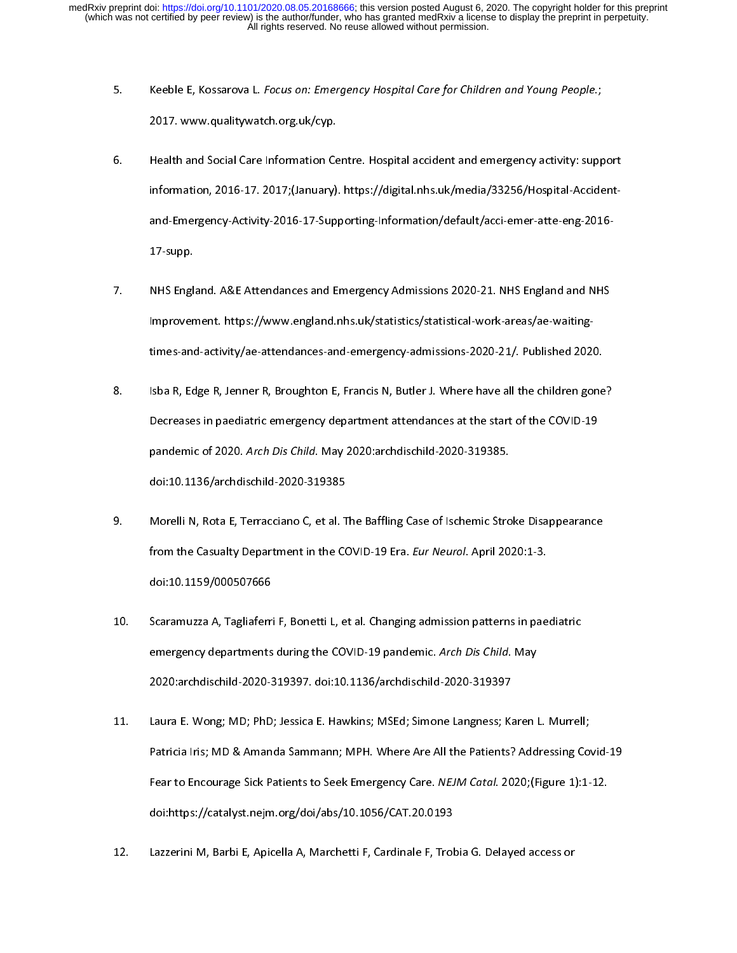- 
- 5. Keeble E, Kossarova L. Focus on: Emergency Hospital care for Children and Young People.;<br>2017. www.qualitywatch.org.uk/cyp.<br>6. Health and Social Care Information Centre. Hospital accident and emergency activity: supp<br>in 2022. Www.quality.com.org.uk/cyp.in<br>Health and Social Care Information Ce<br>information, 2016-17. 2017;(January)<br>and-Emergency-Activity-2016-17-Sup<br>17-supp. information, 2016-17. 2017;(January). https://digital.nhs.uk/media/33256/Hospital-Accident-<br>and-Emergency-Activity-2016-17-Supporting-Information/default/acci-emer-atte-eng-2016-<br>17-supp.<br>NHS England, A&E Attendances and E
- Improvement. https://www.england.nhs.uk/statistics/statistical-work-areas/ae-waitingand-Emergency-Activity-2012-12-Supporting-Information, 2013-11, 2014-111-1112-113-2016<br>17-supp.<br>IMHS England. A&E Attendances and Emergency Admissions 2020-21. NHS England and NHS<br>Improvement. https://www.england.nhs.uk/st 17-supp.<br>NHS Engl.<br>Improver<br>times-and 7. Improvement. https://www.england.nhs.uk/statistics/statistical-work-areas/ae-waiting-<br>times-and-activity/ae-attendances-and-emergency-admissions-2020-21/. Published 2020.<br>8. Isba R, Edge R, Jenner R, Broughton E, Franci
- pandemic of 2020. Arch Dis Child. May 2020:archdischild-2020-319385. times-also a R, Edge R, Jenner R, Broughton E, Francis N, Butler J. Where have all the children gone<br>Decreases in paediatric emergency-department attendances at the start of the COVID-19<br>pandemic of 2020. Arch Dis Child. M Becreases in paediatric emergency department attendances at the start of the COVID-19<br>pandemic of 2020. Arch Dis Child. May 2020:archdischild-2020-319385.<br>doi:10.1136/archdischild-2020-319385 Decreases in parameter analogous) department attendances at the start of the COVID-12<br>pandemic of 2020. Arch Dis Child. May 2020:archdischild-2020-319385.<br>doi:10.1136/archdischild-2020-319385<br>Morelli N, Rota E, Terracciano
- pandemic of 2020. Arch Dis Cima. May 2020.archdischild 2020 319385.<br>doi:10.1136/archdischild-2020-319385.<br>Morelli N, Rota E, Terracciano C, et al. The Baffling Case of Ischemic Strc<br>from the Casualty Department in the COVI Morelli N, Rota E, Terracciano C, et al. T<br>from the Casualty Department in the CC<br>doi:10.1159/000507666 9. Morelling y centering y can the cannon content of the Banghai Case of Islamic Stroke Displace.<br>
9. Scars and Casualty Department in the COVID-19 Era. *Eur Neurol*. April 2020:1-3.<br>
9. Scars and Case of Islamic Stroke Di
- from the Casualty Department in the COVID-19 Era. Eur Neurol. April 2020.1-3.<br>doi:10.1159/000507666<br>Scaramuzza A, Tagliaferri F, Bonetti L, et al. Changing admission patterns in pae<br>emergency departments during the COVID-1 doi:<br>Scaramuzza A, Tagliaferri<br>emergency departments<br>2020:archdischild-2020-3 11. Scanners A, Taglia 1999, 2008. Scanners A, Taglian A, Taglian P, Bonners A, Taglian P, Bonners A, Taglian<br>
2020: archdischild-2020-319397. doi:10.1136/archdischild-2020-319397<br>
11. Laura E. Wong; MD; PhD; Jessica E. Ha
- emergency departments during the COVID-15 pandemic. Arch Dis Child. May<br>2020: archdischild-2020-319397. doi:10.1136/archdischild-2020-319397<br>Laura E. Wong; MD; PhD; Jessica E. Hawkins; MSEd; Simone Langness; Karen I<br>Patric 2020:<br>Laura E. Wong; MD; PhD; Jessica E. Hawkins; MSEd; Simone Langness; Ka<br>Patricia Iris; MD & Amanda Sammann; MPH. Where Are All the Patients?<br>Fear to Encourage Sick Patients to Seek Emergency Care. *NEJM Catal*. 20<br>doi: Patricia Iris; MD & Amanda Sammann; MPH. Where Are All the Patients? Addressing Contract Iris; MD & Amanda Sammann; MPH. Where Are All the Patients? Addressing Contract Iris; MD & Amanda Sammann; MPH. Where Are All the Pat Fear to Encourage Sick Patients to Seek Emergency Care. *NEJM Catal*. 2020;(Figure 1):1-12.<br>doi:https://catalyst.nejm.org/doi/abs/10.1056/CAT.20.0193<br>Lazzerini M, Barbi E, Apicella A, Marchetti F, Cardinale F, Trobia G. De Fear to Encourage Sick Fatients to Seek Emergency Care. MEJM Catal. 2020, Figure 1):1-12.<br>doi:https://catalyst.nejm.org/doi/abs/10.1056/CAT.20.0193<br>Lazzerini M, Barbi E, Apicella A, Marchetti F, Cardinale F, Trobia G. Dela
- Lazzerini M, Barbi E, Apicella A, Marchetti F, Cardinale F, Trol<br>Lazzerini M, Barbi E, Apicella A, Marchetti F, Cardinale F, Trol 12. Lazzerini M, Barbi E, Apicella A, Marchetti F, Cardinale F, Trobia G. Delayed access or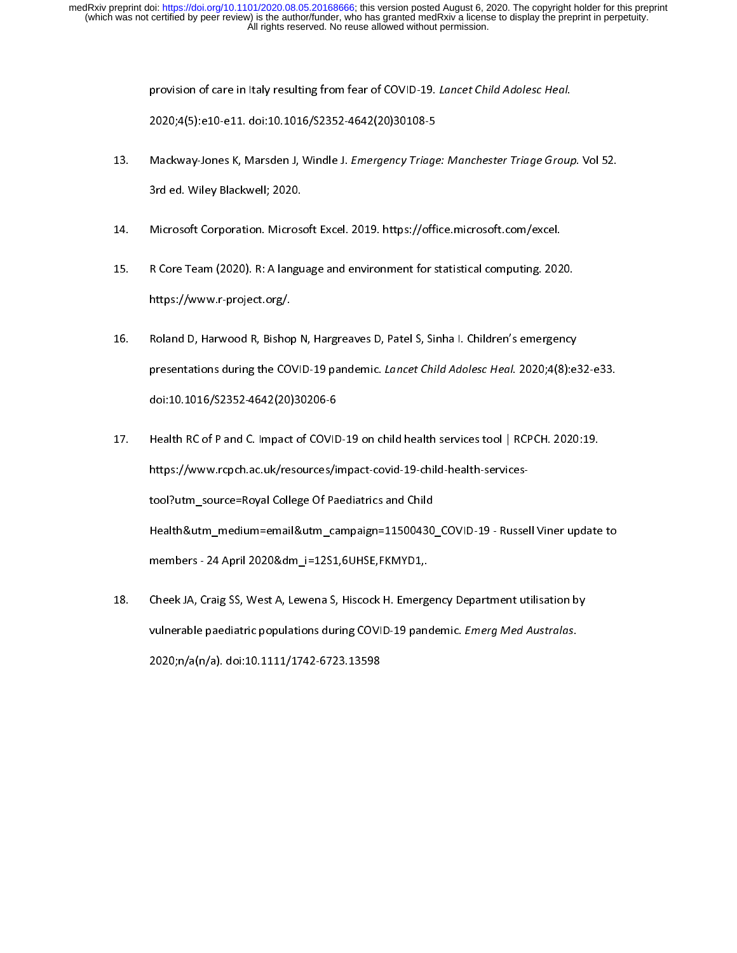- provision of care in Italy resulting from fear of COVID-19. Lancet Child Adolesc Heal.<br>2020;4(5):e10-e11. doi:10.1016/S2352-4642(20)30108-5<br>Mackway-Jones K, Marsden J, Windle J. *Emergency Triage: Manchester Triage Group*<br> 2020;4(1,02020):2020;4(1,02020);2020<br>Mackway-Jones K, Marsden J, Windle J. *Emergency Triage*<br>3rd ed. Wiley Blackwell; 2020.<br>Microsoft Corporation. Microsoft Excel. 2019. https://offi 13. Mackway-Jones K, Marsden J, Windle J. Emergency Triage: Manchester Triage Group. Vol 52.<br>3rd ed. Wiley Blackwell; 2020.<br>14. Microsoft Corporation. Microsoft Excel. 2019. https://office.microsoft.com/excel.<br>15. R Core T
- 
- 3. Microsoft Corporation. Microsoft<br>R Core Team (2020). R: A langu<br>https://www.r-project.org/. 14. Microsoft Corporation. Microsoft Corporation. 2021<br>15. R. Core Team (2020). R: A language and environment for statistical computing. 202<br>16. Roland D, Harwood R, Bishop N, Hargreaves D, Patel S, Sinha I. Children's eme
- https://www.r-project.org/.<br>16. Roland D, Harwood R, Bishop N, Hargreaves D, Patel S, Sinha I. Children's emergency<br>presentations during the COVID-19 pandemic. *Lancet Child Adolesc Heal*. 2020;4(8):e<br>doi:10.1016/S2352.464 https://www.r-project.org/.<br>Roland D, Harwood R, Bishop<br>presentations during the CO'<br>doi:10.1016/S2352-4642(20) 16. Roland D, Harmonic Patel P, Patel D, Patel D, Patel D, Patel D, Patel D, Patel S, Sinha II.<br>16. Bishop N, Haraway, Patel S, Sinha I. Children<br>16. Bishop N, Health RC of P and C. Impact of COVID-19 on child health servi
- presentations during the COVID-19 pandemic. Lancet Child Adolesc Heal. 2020;4(8):e32-e33.<br>doi:10.1016/S2352-4642(20)30206-6<br>Health RC of P and C. Impact of COVID-19 on child health services tool | RCPCH. 2020:19.<br>https://w doi:101212-101212-111012-1111<br>Health RC of P and C. Impact of COVID<br>https://www.rcpch.ac.uk/resources/ii<br>tool?utm\_source=Royal College Of Pa<br>Health&utm\_medium=email&utm\_ca https://www.rcpch.ac.uk/resources/impact-covid-19-child-health-services-<br>tool?utm\_source=Royal College Of Paediatrics and Child<br>Health&utm\_medium=email&utm\_campaign=11500430\_COVID-19 - Russell Viner update<br>members - 24 Apr tool.<br>2014 Health&utm\_medium=email&utm\_campaign=11500430<br>100430\_members - 24 April 2020&dm\_i=12S1,6UHSE,FKMYD1,<br>Cheek JA, Craig SS, West A, Lewena S, Hiscock H. Emerge
- Cheek JA, Craig SS, West A, Lewena S, Hiscock H. Emergency Department utilisation by members - 24 April 2020&dm\_i=12S1,6UHSE,FKMYD1,<br>Cheek JA, Craig SS, West A, Lewena S, Hiscock H. Emergency Department utilisation by<br>vulnerable paediatric populations during COVID-19 pandemic. *Emerg Med Australas*.<br>2020:n members - 24 April 2020;<br>Cheek JA, Craig SS, West A, Lewena S, Hiscock H. Emerge<br>Vulnerable paediatric populations during COVID-19 pano<br>2020;n/a(n/a). doi:10.1111/1742-6723.13598 18. Cheekina, Cheek JA, Lewena J, Macroman Emergency Department utilisation by<br>
18. Vulnerable paediatric populations during COVID-19 pandemic. *Emerg Med Australas*.<br>
2020;n/a(n/a). doi:10.1111/1742-6723.13598 vulnerable paediatric populations during COVID-19 pandemic. *Emerg Med Australias.*<br>2020;n/a(n/a). doi:10.1111/1742-6723.13598 2020;n/a(n/a). doi:10.1111/1742-6723.13598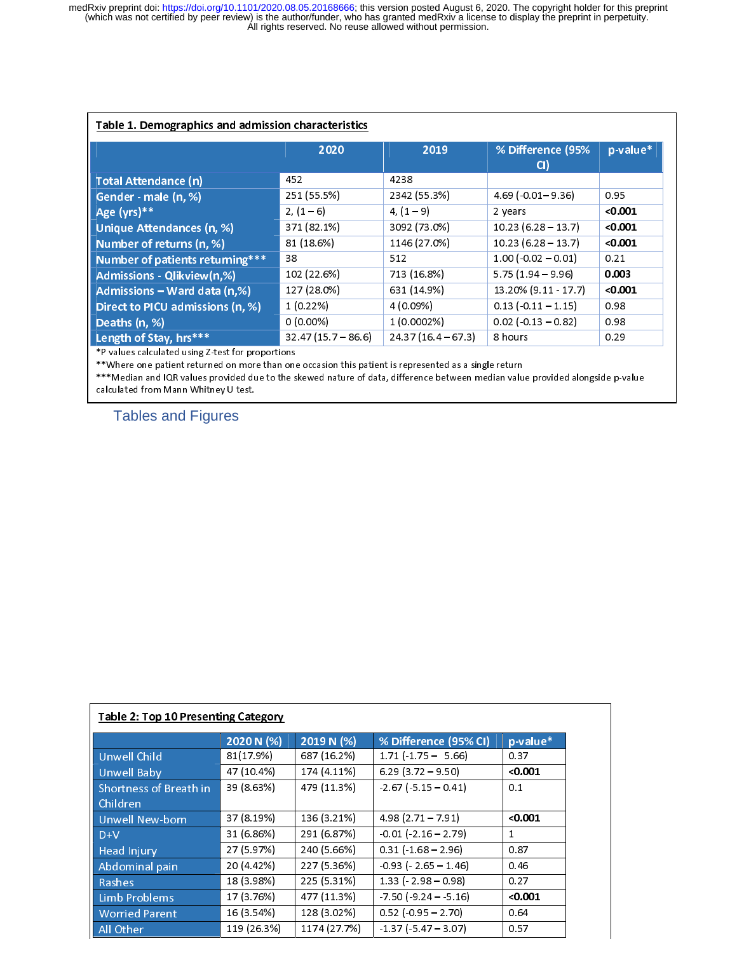| Table 1. Demographics and admission characteristics |                      |                      |                           |          |  |
|-----------------------------------------------------|----------------------|----------------------|---------------------------|----------|--|
|                                                     | 2020                 | 2019                 | % Difference (95%<br>CI)  | p-value* |  |
| <b>Total Attendance (n)</b>                         | 452                  | 4238                 |                           |          |  |
| Gender - male (n, %)                                | 251 (55.5%)          | 2342 (55.3%)         | $4.69(-0.01 - 9.36)$      | 0.95     |  |
| Age (yrs)**                                         | $2, (1-6)$           | $4, (1 - 9)$         | 2 years                   | < 0.001  |  |
| Unique Attendances (n, %)                           | 371 (82.1%)          | 3092 (73.0%)         | $10.23(6.28 - 13.7)$      | < 0.001  |  |
| Number of returns (n, %)                            | 81 (18.6%)           | 1146 (27.0%)         | $10.23(6.28 - 13.7)$      | < 0.001  |  |
| Number of patients returning***                     | 38                   | 512                  | $1.00 (-0.02 - 0.01)$     | 0.21     |  |
| Admissions - Qlikview(n,%)                          | 102 (22.6%)          | 713 (16.8%)          | $5.75(1.94 - 9.96)$       | 0.003    |  |
| Admissions - Ward data (n,%)                        | 127 (28.0%)          | 631 (14.9%)          | 13.20% (9.11 - 17.7)      | < 0.001  |  |
| Direct to PICU admissions (n, %)                    | 1(0.22%)             | 4 (0.09%)            | $0.13 (-0.11 - 1.15)$     | 0.98     |  |
| Deaths (n, %)                                       | $0(0.00\%)$          | 1 (0.0002%)          | $0.02$ ( $-0.13 - 0.82$ ) | 0.98     |  |
| Length of Stay, hrs***                              | $32.47(15.7 - 86.6)$ | $24.37(16.4 - 67.3)$ | 8 hours                   | 0.29     |  |

\*P values calculated using Z-test for proportions

\*\*Where one patient returned on more than one occasion this patient is represented as a single return where one patient returned on more than one occasion this patient is represented as a single return.

\*\*\*Median and IQR values provided due to the skewed nature of data, difference between median value provided alongside p-value calculated from Mann Whitney U test.

Tables and Figures

|                        | 2020 N $(\sqrt[6]{6})$ | 2019 N (%)   | % Difference (95% CI)      | p-value* |
|------------------------|------------------------|--------------|----------------------------|----------|
| <b>Unwell Child</b>    | 81(17.9%)              | 687 (16.2%)  | $1.71(-1.75 - 5.66)$       | 0.37     |
| <b>Unwell Baby</b>     | 47 (10.4%)             | 174 (4.11%)  | $6.29(3.72 - 9.50)$        | < 0.001  |
| Shortness of Breath in | 39 (8.63%)             | 479 (11.3%)  | $-2.67(-5.15 - 0.41)$      | 0.1      |
| Children               |                        |              |                            |          |
| <b>Unwell New-born</b> | 37 (8.19%)             | 136 (3.21%)  | $4.98(2.71 - 7.91)$        | < 0.001  |
| $D+V$                  | 31 (6.86%)             | 291 (6.87%)  | $-0.01$ ( $-2.16 - 2.79$ ) | 1        |
| <b>Head Injury</b>     | 27 (5.97%)             | 240 (5.66%)  | $0.31 (-1.68 - 2.96)$      | 0.87     |
| Abdominal pain         | 20 (4.42%)             | 227 (5.36%)  | $-0.93$ ( $-2.65 - 1.46$ ) | 0.46     |
| Rashes                 | 18 (3.98%)             | 225 (5.31%)  | $1.33 (-2.98 - 0.98)$      | 0.27     |
| Limb Problems          | 17 (3.76%)             | 477 (11.3%)  | $-7.50(-9.24 - 5.16)$      | < 0.001  |
| <b>Worried Parent</b>  | 16 (3.54%)             | 128 (3.02%)  | $0.52$ ( $-0.95 - 2.70$ )  | 0.64     |
| All Other              | 119 (26.3%)            | 1174 (27.7%) | $-1.37(-5.47 - 3.07)$      | 0.57     |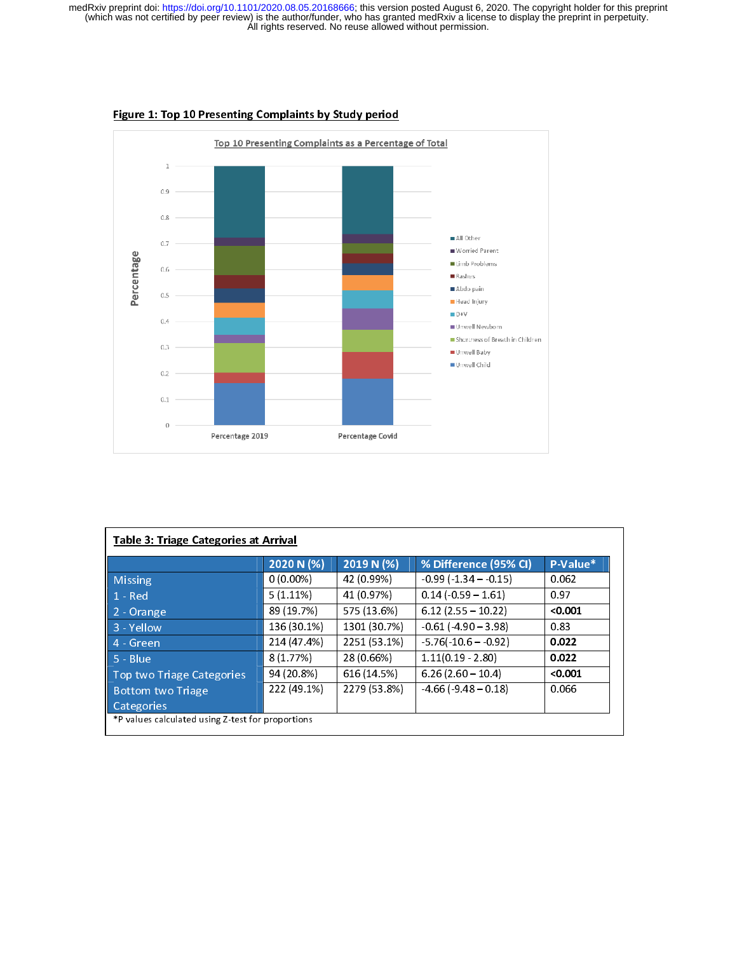

#### Figure 1: Top 10 Presenting Complaints by Study period

|                           | 2020 N (%)  | 2019 N $(%)$ | % Difference (95% CI)      | P-Value* |
|---------------------------|-------------|--------------|----------------------------|----------|
| <b>Missing</b>            | $0(0.00\%)$ | 42 (0.99%)   | $-0.99(-1.34 - 0.15)$      | 0.062    |
| $1 - Red$                 | $5(1.11\%)$ | 41 (0.97%)   | $0.14$ ( $0.59 - 1.61$ )   | 0.97     |
| 2 - Orange                | 89 (19.7%)  | 575 (13.6%)  | $6.12$ (2.55 - 10.22)      | < 0.001  |
| $\vert$ 3 - Yellow        | 136 (30.1%) | 1301 (30.7%) | $-0.61$ ( $-4.90 - 3.98$ ) | 0.83     |
| 4 - Green                 | 214 (47.4%) | 2251 (53.1%) | $-5.76(-10.6 - 0.92)$      | 0.022    |
| $5 - Blue$                | 8 (1.77%)   | 28 (0.66%)   | $1.11(0.19 - 2.80)$        | 0.022    |
| Top two Triage Categories | 94 (20.8%)  | 616 (14.5%)  | $6.26(2.60 - 10.4)$        | < 0.001  |
| <b>Bottom two Triage</b>  | 222 (49.1%) | 2279 (53.8%) | $-4.66(-9.48 - 0.18)$      | 0.066    |
| Categories                |             |              |                            |          |